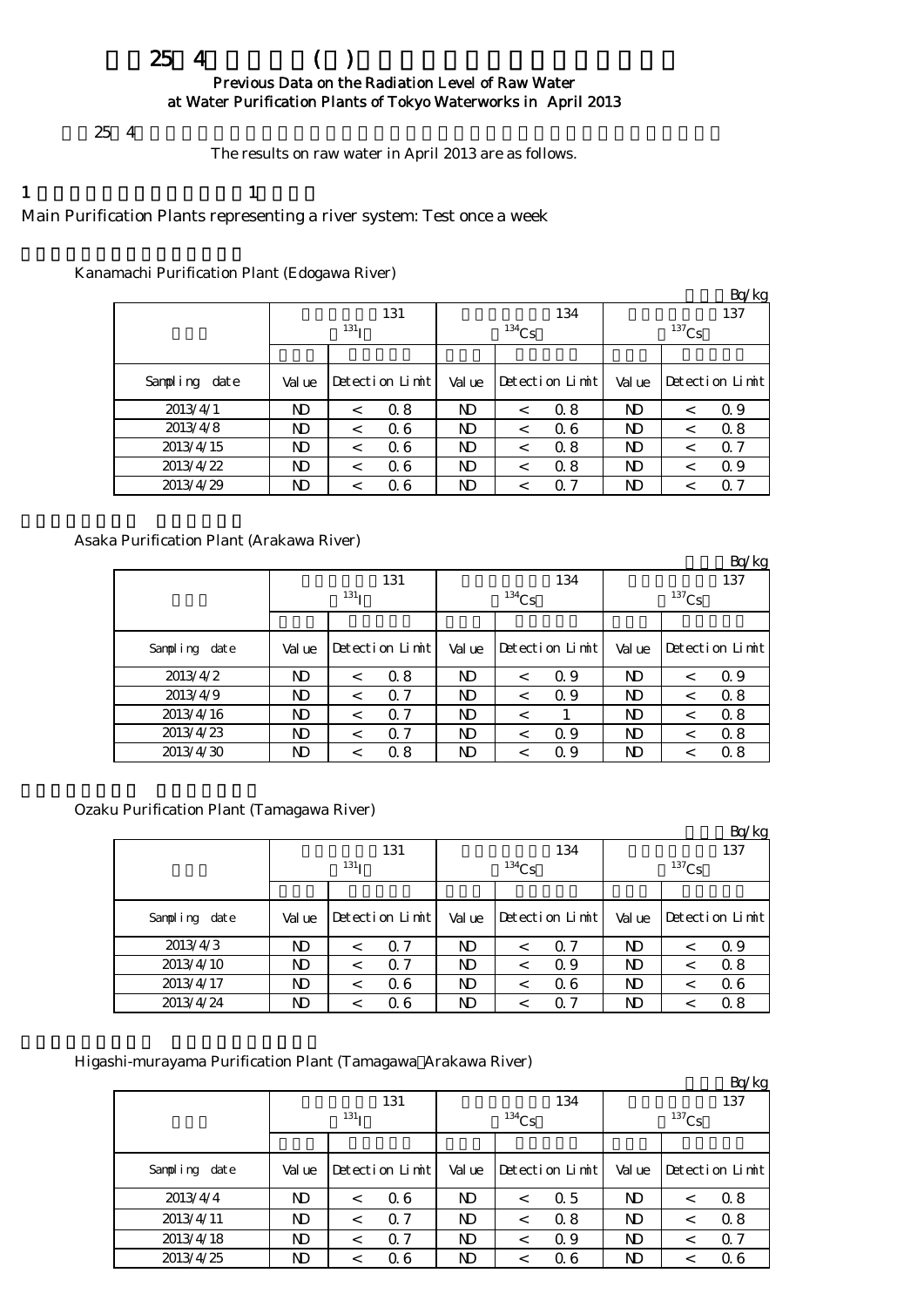# $254$  ( ) Previous Data on the Radiation Level of Raw Water

at Water Purification Plants of Tokyo Waterworks in April 2013

 $254$ 

The results on raw water in April 2013 are as follows.

# 1  $\qquad \qquad 1$

Main Purification Plants representing a river system: Test once a week

## Kanamachi Purification Plant (Edogawa River)

|               |        |                  |                 |        |          |                 |        |          | Bq/kg           |  |
|---------------|--------|------------------|-----------------|--------|----------|-----------------|--------|----------|-----------------|--|
|               |        |                  | 131             |        |          | 134             |        |          | 137             |  |
|               |        | 131 <sub>T</sub> |                 |        | $134$ Cs |                 |        | $137$ Cs |                 |  |
|               |        |                  |                 |        |          |                 |        |          |                 |  |
| Sampling date | Val ue |                  | Detection Limit | Val ue |          | Detection Limit | Val ue |          | Detection Limit |  |
| 2013/4/1      | ND     | $\,<\,$          | 0.8             | ND     | $\,<\,$  | 0.8             | ND     | $\,<\,$  | 0.9             |  |
| 2013/4/8      | ND     | $\,<\,$          | 06              | ND     | $\,<\,$  | 0.6             | ND     |          | 0.8             |  |
| 2013/4/15     | ND     | $\,<\,$          | 06              | ND     | $\,<\,$  | 0.8             | ND     | $\,<\,$  | $\alpha$ 7      |  |
| 2013/4/22     | ND     | <                | 06              | ND     | $\,<\,$  | 0.8             | ND     | <        | 0.9             |  |
| 2013/4/29     | ND     | $\,<\,$          | Q 6             | ND     | $\,<\,$  | Q 7             | ND     | $\,<\,$  | Q 7             |  |

## Asaka Purification Plant (Arakawa River)

|               |        |                  |                 |                |            |                 |        |             | Bq/kg           |  |
|---------------|--------|------------------|-----------------|----------------|------------|-----------------|--------|-------------|-----------------|--|
|               |        | 131              |                 |                | 134        |                 |        | 137         |                 |  |
|               |        | 131 <sub>T</sub> |                 |                | $^{134}Cs$ |                 |        | $^{137}$ Cs |                 |  |
|               |        |                  |                 |                |            |                 |        |             |                 |  |
| Sampling date | Val ue |                  | Detection Limit | Val ue         |            | Detection Limit | Val ue |             | Detection Limit |  |
| 2013/4/2      | ND     | $\,<\,$          | 0.8             | ND.            | $\,<\,$    | Q 9             | ND     | $\,<\,$     | 0.9             |  |
| 2013/4/9      | ND     | $\,<\,$          | $\Omega$ 7      | N <sub>D</sub> | $\,<\,$    | Q 9             | ND     | <           | 0.8             |  |
| 2013/4/16     | ND     | $\,<\,$          | $\Omega$ 7      | ND             | $\,<\,$    |                 | ND     | $\,<\,$     | 0.8             |  |
| 2013/4/23     | ND     | $\,<\,$          | $\alpha$ 7      | ND             | $\,<\,$    | Q 9             | ND     | $\,<\,$     | 0.8             |  |
| 2013/4/30     | ND     | <                | 0.8             | ND             |            | Q 9             | ND     |             | 0.8             |  |

## Ozaku Purification Plant (Tamagawa River)

|               |        |                  |                 |                |          |                 |        |          | Bq/kg           |  |
|---------------|--------|------------------|-----------------|----------------|----------|-----------------|--------|----------|-----------------|--|
|               |        |                  | 131             |                |          | 134             |        |          | 137             |  |
|               |        | 131 <sub>T</sub> |                 |                | $134$ Cs |                 |        | $137$ Cs |                 |  |
|               |        |                  |                 |                |          |                 |        |          |                 |  |
| Sampling date | Val ue |                  | Detection Limit | Val ue         |          | Detection Limit | Val ue |          | Detection Limit |  |
| 2013/4/3      | ND     | <                | $\Omega$ 7      | ND.            | <        | 0.7             | N)     |          | 0.9             |  |
| 2013/4/10     | ND     | <                | $\alpha$ 7      | N <sub>D</sub> | <        | Q 9             | N)     |          | 0.8             |  |
| 2013/4/17     | ND     | $\,<\,$          | Q 6             | ND.            | $\,<\,$  | 0.6             | N)     |          | 06              |  |
| 2013/4/24     | ND     |                  | Q 6             | ND             |          | Q 7             | ND     |          | 0.8             |  |

## Higashi-murayama Purification Plant (Tamagawa Arakawa River)

|                  |        |                  |                 |                |          |                 |        |          | Bq/kg           |  |
|------------------|--------|------------------|-----------------|----------------|----------|-----------------|--------|----------|-----------------|--|
|                  |        |                  | 131             |                |          | 134             |        |          | 137             |  |
|                  |        | 131 <sub>T</sub> |                 |                | $134$ Cs |                 |        | $137$ Cs |                 |  |
|                  |        |                  |                 |                |          |                 |        |          |                 |  |
| Sampling<br>date | Val ue |                  | Detection Limit | Val ue         |          | Detection Limit | Val ue |          | Detection Limit |  |
| 2013/4/4         | ND     | $\,<\,$          | 06              | N <sub>D</sub> | $\,<\,$  | 0.5             | ND     | <        | 0.8             |  |
| 2013/4/11        | ND     | $\,<\,$          | $\Omega$ 7      | ND             | $\,<\,$  | 0.8             | ND     |          | 0.8             |  |
| 2013/4/18        | ND     | $\,<\,$          | $\alpha$ 7      | ND             | $\,<\,$  | Q 9             | ND     | $\,<\,$  | $\alpha$ 7      |  |
| 2013/4/25        | ND     | $\,<\,$          | 06              | ND.            | $\,<\,$  | 0.6             | ND     | <        | 06              |  |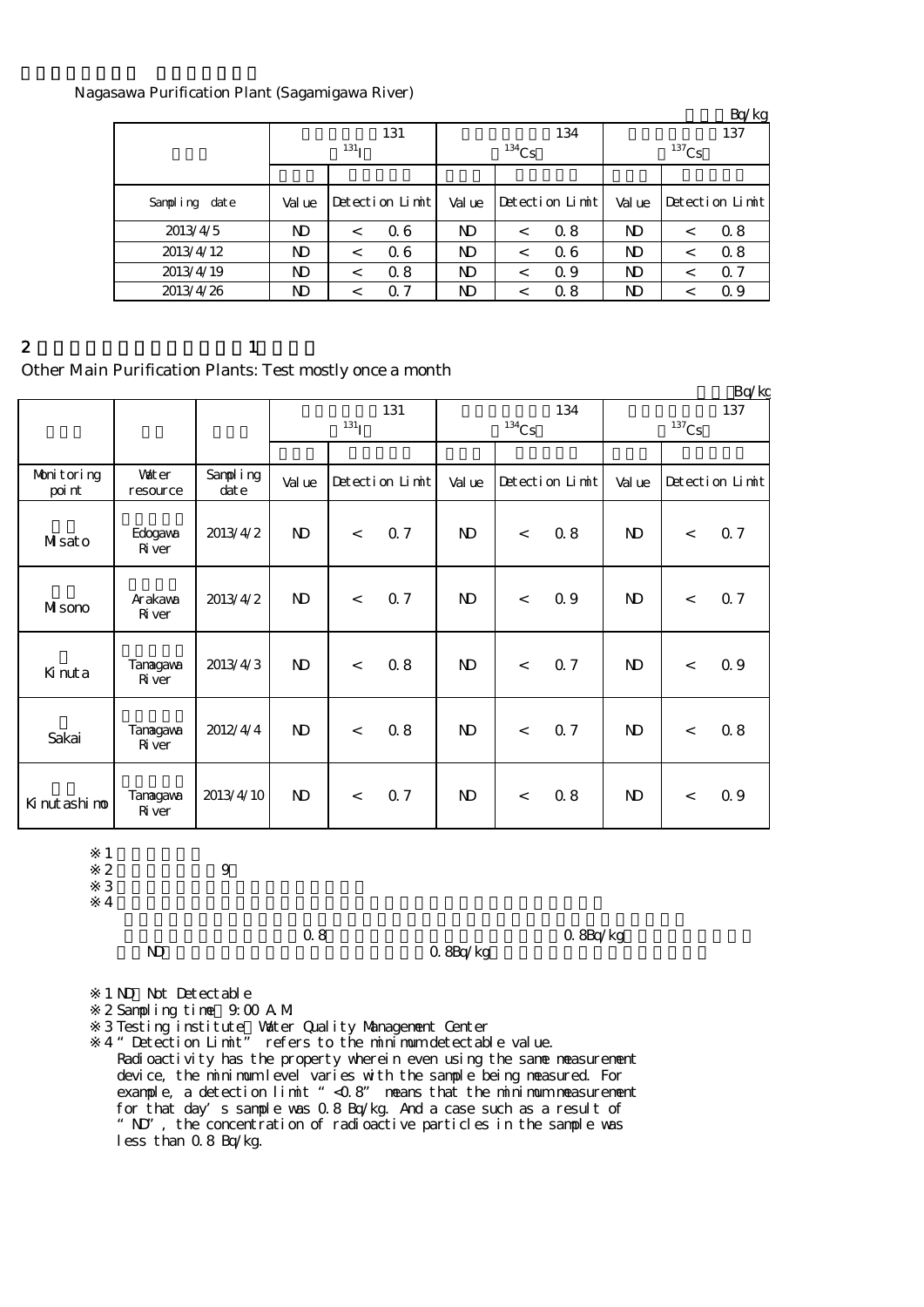#### Nagasawa Purification Plant (Sagamigawa River)

|               |        |                  |                 |                |          |                 |                |          | Bq/kg           |
|---------------|--------|------------------|-----------------|----------------|----------|-----------------|----------------|----------|-----------------|
|               |        |                  | 131             |                |          | 134             |                |          | 137             |
|               |        | 131 <sub>T</sub> |                 |                | $134$ Cs |                 |                | $137$ Cs |                 |
|               |        |                  |                 |                |          |                 |                |          |                 |
| Sampling date | Val ue |                  | Detection Limit | Val ue         |          | Detection Limit | Val ue         |          | Detection Limit |
| 2013/4/5      | ND     |                  | 06              | ND             | $\,<\,$  | 0.8             | N <sub>D</sub> | <        | 0.8             |
| 2013/4/12     | ND.    | $\,<\,$          | 06              | ND             | $\,<\,$  | 0.6             | N <sub>D</sub> | $\,<\,$  | 0.8             |
| 2013/4/19     | ND     | $\,<\,$          | 0.8             | ND             | $\,<\,$  | Q 9             | N <sub>D</sub> | <        | Q <sub>7</sub>  |
| 2013/4/26     | ND     |                  | $\Omega$ 7      | N <sub>D</sub> | <        | 0.8             | ND             |          | 0.9             |

2 and  $\lambda$  1

# Other Main Purification Plants: Test mostly once a month

|                      |                           |                      |              |            |                 |                            |       |                 |                |                     | Bq/kg           |
|----------------------|---------------------------|----------------------|--------------|------------|-----------------|----------------------------|-------|-----------------|----------------|---------------------|-----------------|
|                      |                           |                      |              | $^{131}$ I | 131             | 134<br>$^{134}\mathrm{Cs}$ |       |                 |                | $^{137}\mathrm{Cs}$ | 137             |
|                      |                           |                      |              |            |                 |                            |       |                 |                |                     |                 |
| Monitoring<br>poi nt | <b>Vater</b><br>resource  | Sampling<br>$\det e$ | Val ue       |            | Detection Limit | Val ue                     |       | Detection Limit | Val ue         |                     | Detection Limit |
| Masato               | Edogava<br><b>R</b> iver  | 2013/4/2             | $\mathbf{D}$ | $\lt$      | Q 7             | $\mathbf{D}$               | $\lt$ | 0.8             | N <sub>D</sub> | $\lt$               | 0.7             |
| MIsono               | Arakawa<br><b>R</b> iver  | 2013/4/2             | <b>ND</b>    | $\prec$    | Q <sub>7</sub>  | $\mathbf{D}$               | $\lt$ | 0.9             | $\mathbf{D}$   | $\lt$               | 0.7             |
| Kinuta               | Tanagawa<br><b>R</b> iver | 2013/4/3             | $\mathbf{N}$ | $\lt$      | 0.8             | $\mathbf{D}$               | $\lt$ | 0.7             | $\mathbf{D}$   | $\lt$               | 0.9             |
| Sakai                | Tanagawa<br><b>R</b> iver | 2012/4/4             | $\mathbf{D}$ | $\,<$      | 0.8             | $\mathbf{D}$               | $\lt$ | 0.7             | $\mathbf{D}$   | $\lt$               | 0.8             |
| Ki nut ashi no       | Tanagawa<br><b>R</b> iver | 2013/4/10            | $\mathbf{D}$ | $\lt$      | Q <sub>7</sub>  | $\mathbf{D}$               | $\lt$ | 0.8             | $\mathbf{D}$   | $\lt$               | 0.9             |

 $1$  ND:  $\sim$  ND:

※2 採水時間:午前9時  $3 \thinspace$ 

※4

0.8Bq/kg

 $\begin{array}{lll} \text{O} & 8 & \text{O} & 8 \text{Bq/kg} \\ \text{O} & 8 & \text{O} & 8 \text{Bq/kg} \\ \end{array}$ 

- 1 ND Not Detectable
- ※2 Sampling time:9:00 A.M.

 $\mathcal{S}$ Testing institute:Water Quality Management Center

※4 "Detection Limit" refers to the minimum detectable value. Radioactivity has the property wherein even using the same measurement device, the minimum level varies with the sample being measured. For example, a detection limit "<0.8" means that the minimum measurement for that day's sample was 0.8 Bq/kg. And a case such as a result of "ND", the concentration of radioactive particles in the sample was less than 0.8 Bq/kg.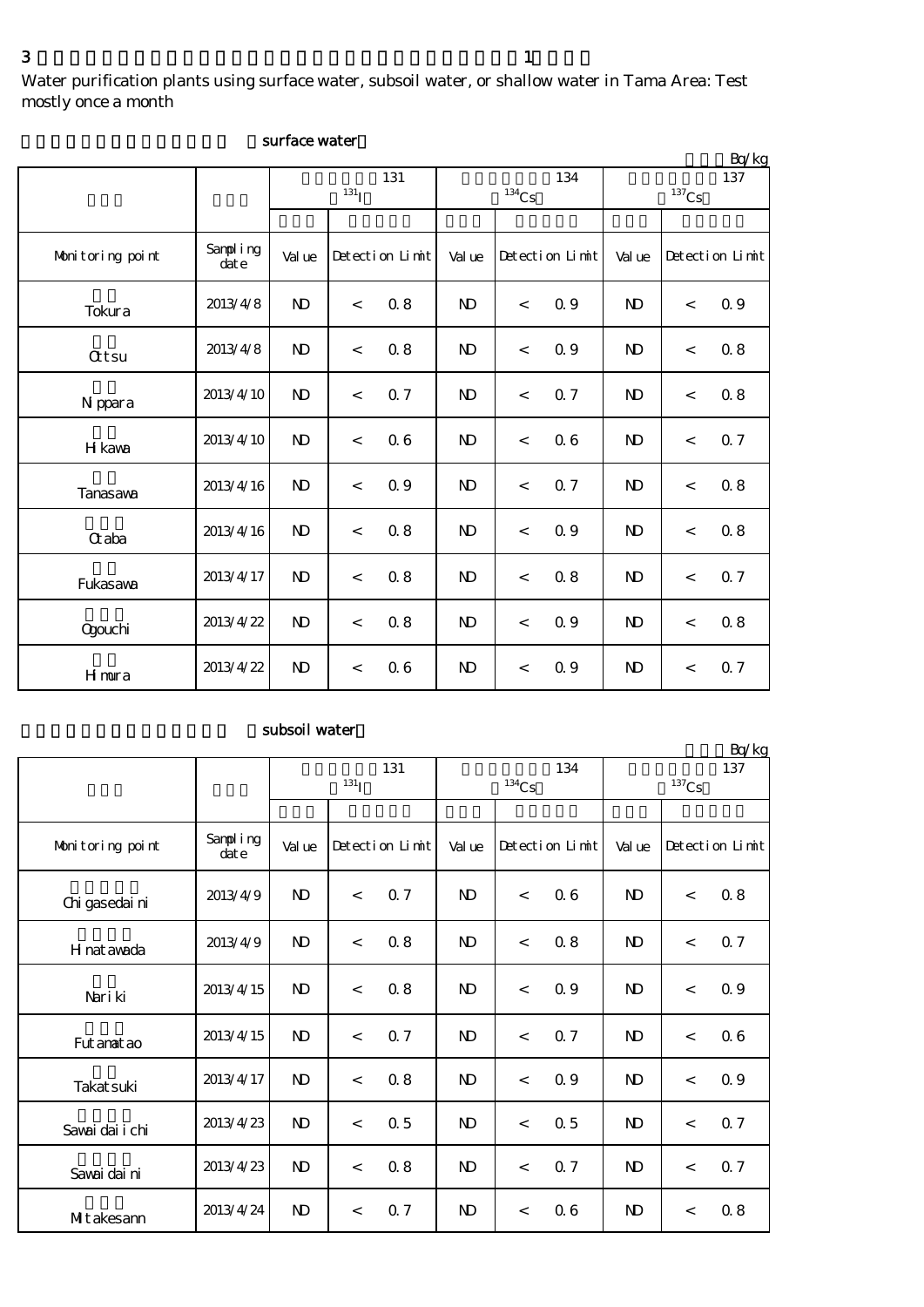Water purification plants using surface water, subsoil water, or shallow water in Tama Area: Test mostly once a month

|                  |                  |                |                  |                 |                |                          |                 |                |                     | Bq/kg           |
|------------------|------------------|----------------|------------------|-----------------|----------------|--------------------------|-----------------|----------------|---------------------|-----------------|
|                  |                  |                | 131 <sub>I</sub> | 131             |                | $\mathrm{^{134}Cs}$      | 134             |                | $^{137}\mathrm{Cs}$ | 137             |
|                  |                  |                |                  |                 |                |                          |                 |                |                     |                 |
| Monitoring point | Sampling<br>date | Val ue         |                  | Detection Limit | Value          |                          | Detection Limit | Val ue         |                     | Detection Limit |
| Tokura           | 2013/4/8         | $\mathbf{N}$   | $\,<$            | 0.8             | N <sub>D</sub> | $\lt$                    | 0.9             | $\mathbf{D}$   | $\,<$               | 0.9             |
| <b>Qtsu</b>      | 2013/4/8         | $\mathbf{N}$   | $\,<$            | $0.8\,$         | N <sub>D</sub> | $\overline{\phantom{a}}$ | 0.9             | $\mathbf{D}$   | $\,<$               | $0.8\,$         |
| N ppara          | 2013/4/10        | $\mathbf{N}$   | $\,<$            | Q 7             | N <sub>D</sub> | $\,<\,$                  | 0.7             | $\mathbf{N}$   | $\,<$               | $0.8\,$         |
| H kava           | 2013/4/10        | N <sub>D</sub> | $\,<$            | 06              | N <sub>D</sub> | $\,<$                    | 0.6             | $\mathbf{N}$   | $\,<$               | 0.7             |
| Tanasawa         | 2013/4/16        | N <sub>D</sub> | $\,<$            | 0.9             | N <sub>D</sub> | $\,<$                    | 0.7             | $\mathbf{N}$   | $\,<$               | 0.8             |
| Gaba             | 2013/4/16        | N <sub>D</sub> | $\,<$            | 0.8             | $\mathbf{N}$   | $\,<\,$                  | 0.9             | $\mathbf{D}$   | $\,<$               | $0.8\,$         |
| Fukasawa         | 2013/4/17        | N <sub>D</sub> | $\,<$            | $0.8\,$         | $\mathbf{N}$   | $\overline{\phantom{a}}$ | 0.8             | N <sub>D</sub> | $\,<$               | 0.7             |
| <b>Ogouchi</b>   | 2013/4/22        | N <sub>D</sub> | $\,<$            | 0.8             | N <sub>D</sub> | $\,<\,$                  | 0.9             | $\mathbf{D}$   | $\,<$               | $0.8\,$         |
| <b>H</b> mura    | 2013/4/22        | $\mathbf{N}$   | $\,<$            | 06              | N <sub>D</sub> | $\,<\,$                  | 0.9             | $\mathbf{N}$   | $\,<$               | Q 7             |

## surface water

# subsoil water

|                  |                  |              |                    |                 |                |                          |                 |              |          | Bq/kg           |
|------------------|------------------|--------------|--------------------|-----------------|----------------|--------------------------|-----------------|--------------|----------|-----------------|
|                  |                  |              | $131$ <sub>I</sub> | 131             |                | $\mathrm{^{134}Cs}$      | 134             |              | $137$ Cs | 137             |
|                  |                  |              |                    |                 |                |                          |                 |              |          |                 |
| Monitoring point | Sampling<br>date | Val ue       |                    | Detection Limit | Val ue         |                          | Detection Limit | Val ue       |          | Detection Limit |
| Chi gasedai ni   | 2013/4/9         | $\mathbf{D}$ | $\,<$              | Q 7             | $\mathbf{N}$   | $\overline{\phantom{a}}$ | 06              | $\mathbf{D}$ | $\,<$    | 0.8             |
| H nat awada      | 2013/4/9         | $\mathbf{D}$ | $\,<$              | 0.8             | $\mathbf{N}$   | $\lt$                    | 0.8             | $\mathbf{D}$ | $\lt$    | 0.7             |
| Nari ki          | 2013/4/15        | $\mathbf{D}$ | $\,<$              | 0.8             | $\mathbf{D}$   | $\overline{\phantom{a}}$ | 0.9             | $\mathbf{N}$ | $\,<$    | 0.9             |
| Fut anat ao      | 2013/4/15        | $\mathbf{N}$ | $\,<$              | Q 7             | <b>ND</b>      | $\overline{\phantom{a}}$ | 0.7             | $\mathbf{N}$ | $\lt$    | 06              |
| Takat suki       | 2013/4/17        | $\mathbf{N}$ | $\,<$              | 0.8             | $\mathbf{N}$   | $\overline{\phantom{a}}$ | 0.9             | $\mathbf{N}$ | $\,<$    | 0.9             |
| Sawai dai i chi  | 2013/4/23        | $\mathbf{N}$ | $\,<$              | 0.5             | N <sub>D</sub> | $\overline{\phantom{a}}$ | 0.5             | $\mathbf{N}$ | $\lt$    | 0.7             |
| Savai dai ni     | 2013/4/23        | $\mathbf{D}$ | $\lt$              | 0.8             | $\mathbf{N}$   | $\lt$                    | 0.7             | $\mathbf{D}$ | $\lt$    | 0.7             |
| MIt akesann      | 2013/4/24        | $\mathbf{D}$ | $\,<\,$            | Q 7             | $\mathbf{D}$   | $\,<\,$                  | 0.6             | $\mathbf{D}$ | $\,<$    | 0.8             |